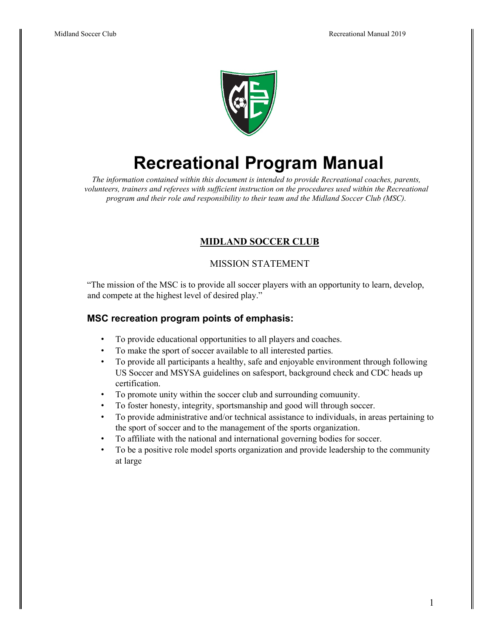

## **Recreational Program Manual**

*The information contained within this document is intended to provide Recreational coaches, parents, volunteers, trainers and referees with sufficient instruction on the procedures used within the Recreational program and their role and responsibility to their team and the Midland Soccer Club (MSC).*

## **MIDLAND SOCCER CLUB**

## MISSION STATEMENT

"The mission of the MSC is to provide all soccer players with an opportunity to learn, develop, and compete at the highest level of desired play."

## **MSC recreation program points of emphasis:**

- To provide educational opportunities to all players and coaches.
- To make the sport of soccer available to all interested parties.
- To provide all participants a healthy, safe and enjoyable environment through following US Soccer and MSYSA guidelines on safesport, background check and CDC heads up certification.
- To promote unity within the soccer club and surrounding comuunity.
- To foster honesty, integrity, sportsmanship and good will through soccer.
- To provide administrative and/or technical assistance to individuals, in areas pertaining to the sport of soccer and to the management of the sports organization.
- To affiliate with the national and international governing bodies for soccer.
- To be a positive role model sports organization and provide leadership to the community at large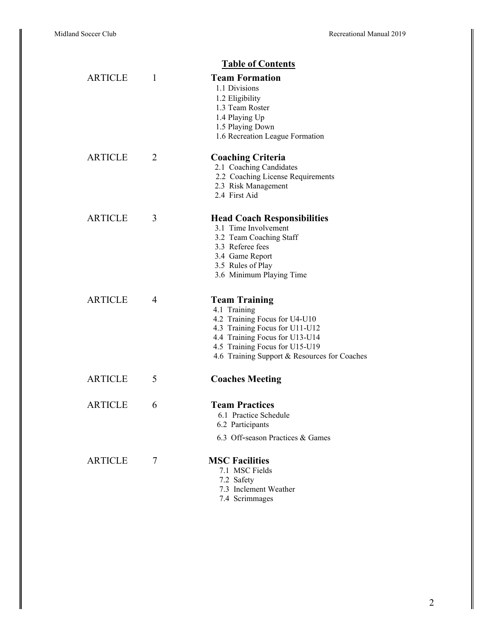|                |   | <b>Table of Contents</b>                                                                                                                                                                                                    |
|----------------|---|-----------------------------------------------------------------------------------------------------------------------------------------------------------------------------------------------------------------------------|
| <b>ARTICLE</b> | 1 | <b>Team Formation</b><br>1.1 Divisions<br>1.2 Eligibility<br>1.3 Team Roster<br>1.4 Playing Up<br>1.5 Playing Down<br>1.6 Recreation League Formation                                                                       |
| <b>ARTICLE</b> | 2 | <b>Coaching Criteria</b><br>2.1 Coaching Candidates<br>2.2 Coaching License Requirements<br>2.3 Risk Management<br>2.4 First Aid                                                                                            |
| <b>ARTICLE</b> | 3 | <b>Head Coach Responsibilities</b><br>3.1 Time Involvement<br>3.2 Team Coaching Staff<br>3.3 Referee fees<br>3.4 Game Report<br>3.5 Rules of Play<br>3.6 Minimum Playing Time                                               |
| <b>ARTICLE</b> | 4 | <b>Team Training</b><br>4.1 Training<br>4.2 Training Focus for U4-U10<br>4.3 Training Focus for U11-U12<br>4.4 Training Focus for U13-U14<br>4.5 Training Focus for U15-U19<br>4.6 Training Support & Resources for Coaches |
| <b>ARTICLE</b> | 5 | <b>Coaches Meeting</b>                                                                                                                                                                                                      |
| <b>ARTICLE</b> | 6 | <b>Team Practices</b><br>6.1 Practice Schedule<br>6.2 Participants<br>6.3 Off-season Practices & Games                                                                                                                      |
| <b>ARTICLE</b> | 7 | <b>MSC Facilities</b><br>7.1 MSC Fields<br>7.2 Safety<br>7.3 Inclement Weather<br>7.4 Scrimmages                                                                                                                            |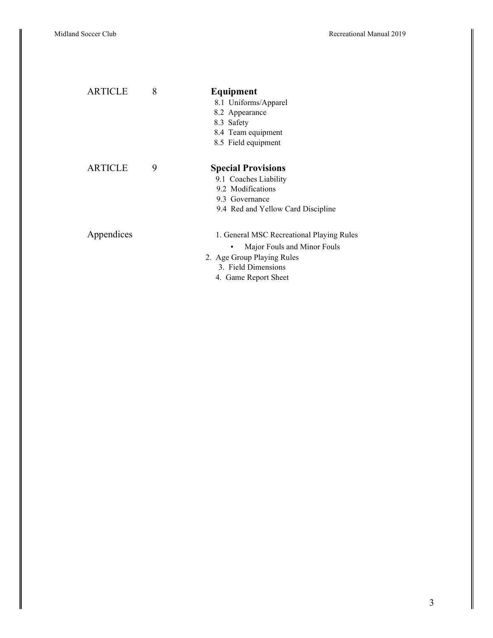| <b>ARTICLE</b> | 8 | Equipment                                 |
|----------------|---|-------------------------------------------|
|                |   | 8.1 Uniforms/Apparel                      |
|                |   | 8.2 Appearance                            |
|                |   | 8.3 Safety                                |
|                |   | 8.4 Team equipment                        |
|                |   | 8.5 Field equipment                       |
| <b>ARTICLE</b> | 9 | <b>Special Provisions</b>                 |
|                |   | 9.1 Coaches Liability                     |
|                |   | 9.2 Modifications                         |
|                |   | 9.3 Governance                            |
|                |   | 9.4 Red and Yellow Card Discipline        |
| Appendices     |   | 1. General MSC Recreational Playing Rules |
|                |   | Major Fouls and Minor Fouls<br>٠          |
|                |   | 2. Age Group Playing Rules                |
|                |   | 3. Field Dimensions                       |
|                |   | 4. Game Report Sheet                      |
|                |   |                                           |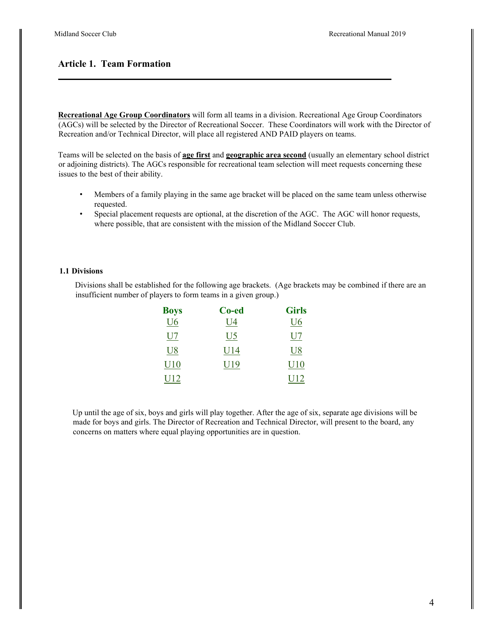## **Article 1. Team Formation**

**Recreational Age Group Coordinators** will form all teams in a division. Recreational Age Group Coordinators (AGCs) will be selected by the Director of Recreational Soccer. These Coordinators will work with the Director of Recreation and/or Technical Director, will place all registered AND PAID players on teams.

Teams will be selected on the basis of **age first** and **geographic area second** (usually an elementary school district or adjoining districts). The AGCs responsible for recreational team selection will meet requests concerning these issues to the best of their ability.

- Members of a family playing in the same age bracket will be placed on the same team unless otherwise requested.
- Special placement requests are optional, at the discretion of the AGC. The AGC will honor requests, where possible, that are consistent with the mission of the Midland Soccer Club.

#### **1.1 Divisions**

Divisions shall be established for the following age brackets. (Age brackets may be combined if there are an insufficient number of players to form teams in a given group.)

| <b>Boys</b>       | Co-ed | <b>Girls</b> |
|-------------------|-------|--------------|
| U6                | U4    | U6           |
| U7                | U5    | U7           |
| U8                | U14   | U8           |
| $_{\mathrm{U10}}$ | U19   | ${\rm U10}$  |
| U12               |       | U12          |

Up until the age of six, boys and girls will play together. After the age of six, separate age divisions will be made for boys and girls. The Director of Recreation and Technical Director, will present to the board, any concerns on matters where equal playing opportunities are in question.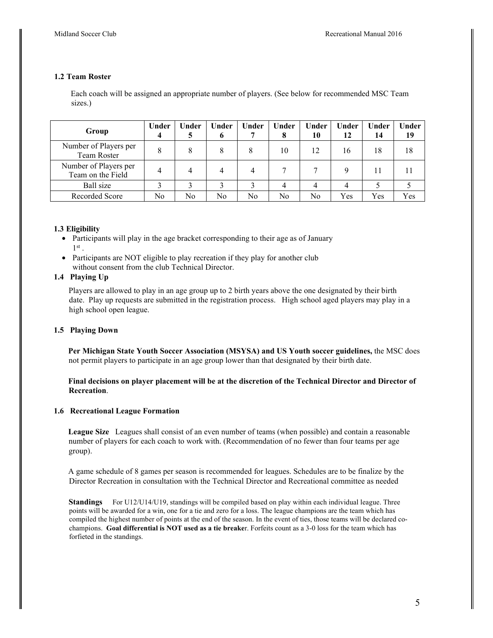#### **1.2 Team Roster**

Each coach will be assigned an appropriate number of players. (See below for recommended MSC Team sizes.)

| Group                                      | Under | Jnder | Under<br>o | Under | Under<br>8 | Under<br>10 | Under<br>12 | Under<br>14 | Under<br>19 |
|--------------------------------------------|-------|-------|------------|-------|------------|-------------|-------------|-------------|-------------|
| Number of Players per<br>Team Roster       | 8     | 8     | 8          | 8     | 10         | 12          | 16          | 18          | 18          |
| Number of Players per<br>Team on the Field | 4     |       |            | 4     |            |             |             |             |             |
| Ball size                                  |       |       |            |       |            |             |             |             |             |
| Recorded Score                             | No    | No    | No         | No    | No         | No          | Yes         | Yes         | Yes         |

#### **1.3 Eligibility**

- Participants will play in the age bracket corresponding to their age as of January  $1^{\text{st}}$ .
- Participants are NOT eligible to play recreation if they play for another club without consent from the club Technical Director.

#### **1.4 Playing Up**

Players are allowed to play in an age group up to 2 birth years above the one designated by their birth date. Play up requests are submitted in the registration process. High school aged players may play in a high school open league.

#### **1.5 Playing Down**

**Per Michigan State Youth Soccer Association (MSYSA) and US Youth soccer guidelines,** the MSC does not permit players to participate in an age group lower than that designated by their birth date.

#### **Final decisions on player placement will be at the discretion of the Technical Director and Director of Recreation**.

#### **1.6 Recreational League Formation**

**League Size** Leagues shall consist of an even number of teams (when possible) and contain a reasonable number of players for each coach to work with. (Recommendation of no fewer than four teams per age group).

A game schedule of 8 games per season is recommended for leagues. Schedules are to be finalize by the Director Recreation in consultation with the Technical Director and Recreational committee as needed

**Standings** For U12/U14/U19, standings will be compiled based on play within each individual league. Three points will be awarded for a win, one for a tie and zero for a loss. The league champions are the team which has compiled the highest number of points at the end of the season. In the event of ties, those teams will be declared cochampions. **Goal differential is NOT used as a tie breake**r. Forfeits count as a 3-0 loss for the team which has forfieted in the standings.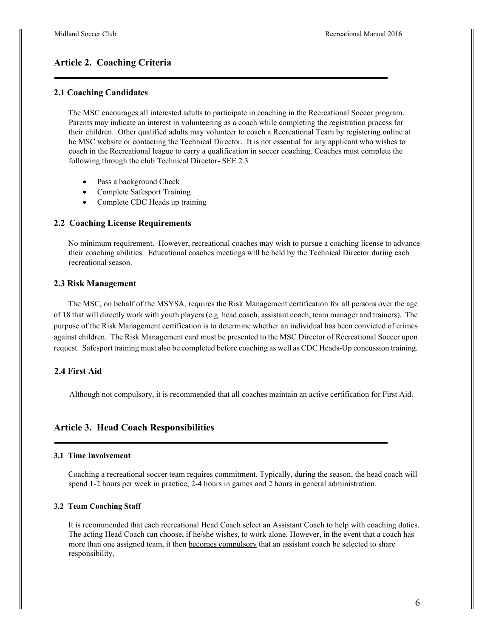## **Article 2. Coaching Criteria**

#### **2.1 Coaching Candidates**

The MSC encourages all interested adults to participate in coaching in the Recreational Soccer program. Parents may indicate an interest in volunteering as a coach while completing the registration process for their children. Other qualified adults may volunteer to coach a Recreational Team by registering online at he MSC website or contacting the Technical Director. It is not essential for any applicant who wishes to coach in the Recreational league to carry a qualification in soccer coaching. Coaches must complete the following through the club Technical Director- SEE 2.3

- Pass a background Check
- Complete Safesport Training
- Complete CDC Heads up training

#### **2.2 Coaching License Requirements**

No minimum requirement. However, recreational coaches may wish to pursue a coaching license to advance their coaching abilities. Educational coaches meetings will be held by the Technical Director during each recreational season.

#### **2.3 Risk Management**

The MSC, on behalf of the MSYSA, requires the Risk Management certification for all persons over the age of 18 that will directly work with youth players (e.g. head coach, assistant coach, team manager and trainers). The purpose of the Risk Management certification is to determine whether an individual has been convicted of crimes against children. The Risk Management card must be presented to the MSC Director of Recreational Soccer upon request. Safesport training must also be completed before coaching as well as CDC Heads-Up concussion training.

#### **2.4 First Aid**

Although not compulsory, it is recommended that all coaches maintain an active certification for First Aid.

#### **Article 3. Head Coach Responsibilities**

#### **3.1 Time Involvement**

Coaching a recreational soccer team requires commitment. Typically, during the season, the head coach will spend 1-2 hours per week in practice, 2-4 hours in games and 2 hours in general administration.

#### **3.2 Team Coaching Staff**

It is recommended that each recreational Head Coach select an Assistant Coach to help with coaching duties. The acting Head Coach can choose, if he/she wishes, to work alone. However, in the event that a coach has more than one assigned team, it then becomes compulsory that an assistant coach be selected to share responsibility.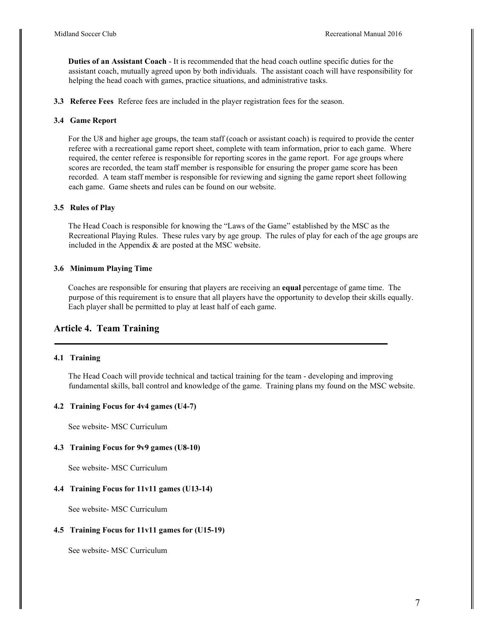**Duties of an Assistant Coach** - It is recommended that the head coach outline specific duties for the assistant coach, mutually agreed upon by both individuals. The assistant coach will have responsibility for helping the head coach with games, practice situations, and administrative tasks.

**3.3 Referee Fees** Referee fees are included in the player registration fees for the season.

#### **3.4 Game Report**

For the U8 and higher age groups, the team staff (coach or assistant coach) is required to provide the center referee with a recreational game report sheet, complete with team information, prior to each game. Where required, the center referee is responsible for reporting scores in the game report. For age groups where scores are recorded, the team staff member is responsible for ensuring the proper game score has been recorded. A team staff member is responsible for reviewing and signing the game report sheet following each game. Game sheets and rules can be found on our website.

#### **3.5 Rules of Play**

The Head Coach is responsible for knowing the "Laws of the Game" established by the MSC as the Recreational Playing Rules. These rules vary by age group. The rules of play for each of the age groups are included in the Appendix & are posted at the MSC website.

#### **3.6 Minimum Playing Time**

Coaches are responsible for ensuring that players are receiving an **equal** percentage of game time. The purpose of this requirement is to ensure that all players have the opportunity to develop their skills equally. Each player shall be permitted to play at least half of each game.

## **Article 4. Team Training**

#### **4.1 Training**

The Head Coach will provide technical and tactical training for the team - developing and improving fundamental skills, ball control and knowledge of the game. Training plans my found on the MSC website.

#### **4.2 Training Focus for 4v4 games (U4-7)**

See website- MSC Curriculum

#### **4.3 Training Focus for 9v9 games (U8-10)**

See website- MSC Curriculum

#### **4.4 Training Focus for 11v11 games (U13-14)**

See website- MSC Curriculum

#### **4.5 Training Focus for 11v11 games for (U15-19)**

See website- MSC Curriculum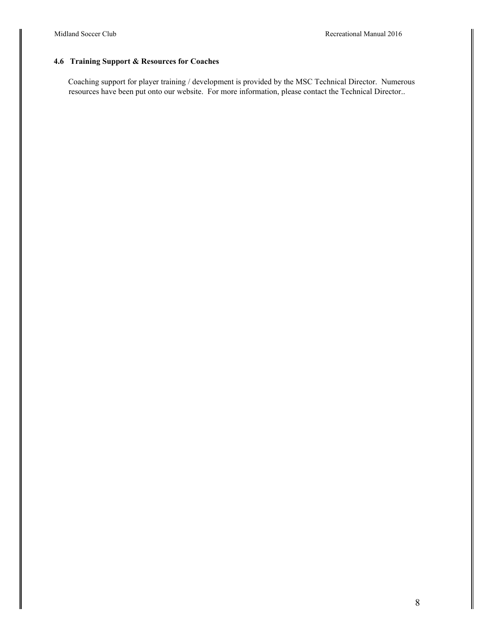## **4.6 Training Support & Resources for Coaches**

Coaching support for player training / development is provided by the MSC Technical Director. Numerous resources have been put onto our website. For more information, please contact the Technical Director..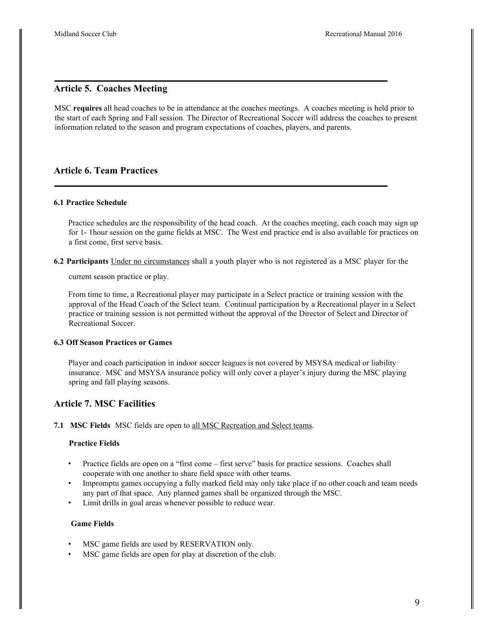## **Article 5. Coaches Meeting**

MSC **requires** all head coaches to be in attendance at the coaches meetings. A coaches meeting is held prior to the start of each Spring and Fall session. The Director of Recreational Soccer will address the coaches to present information related to the season and program expectations of coaches, players, and parents.

## **Article 6. Team Practices**

#### **6.1 Practice Schedule**

Practice schedules are the responsibility of the head coach. At the coaches meeting, each coach may sign up for 1- 1hour session on the game fields at MSC. The West end practice end is also available for practices on a first come, first serve basis.

**6.2 Participants** Under no circumstances shall a youth player who is not registered as a MSC player for the

current season practice or play.

From time to time, a Recreational player may participate in a Select practice or training session with the approval of the Head Coach of the Select team. Continual participation by a Recreational player in a Select practice or training session is not permitted without the approval of the Director of Select and Director of Recreational Soccer.

#### **6.3 Off Season Practices or Games**

Player and coach participation in indoor soccer leagues is not covered by MSYSA medical or liability insurance. MSC and MSYSA insurance policy will only cover a player's injury during the MSC playing spring and fall playing seasons.

## **Article 7. MSC Facilities**

**7.1 MSC Fields** MSC fields are open to all MSC Recreation and Select teams.

#### **Practice Fields**

- Practice fields are open on a "first come first serve" basis for practice sessions. Coaches shall cooperate with one another to share field space with other teams.
- Impromptu games occupying a fully marked field may only take place if no other coach and team needs any part of that space. Any planned games shall be organized through the MSC.
- Limit drills in goal areas whenever possible to reduce wear.

#### **Game Fields**

- MSC game fields are used by RESERVATION only.
- MSC game fields are open for play at discretion of the club.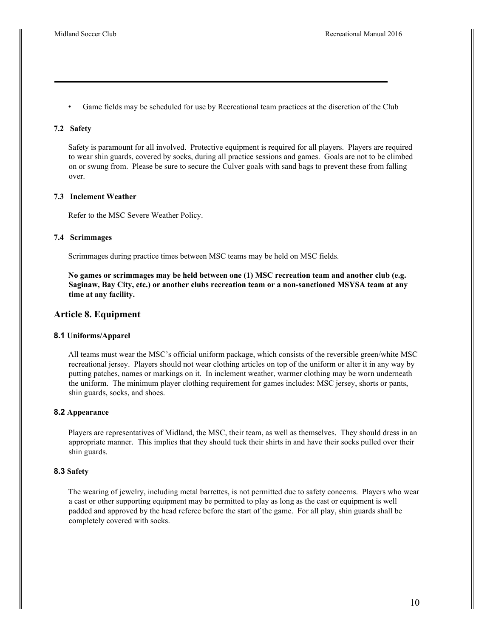Game fields may be scheduled for use by Recreational team practices at the discretion of the Club

#### **7.2 Safety**

Safety is paramount for all involved. Protective equipment is required for all players. Players are required to wear shin guards, covered by socks, during all practice sessions and games. Goals are not to be climbed on or swung from. Please be sure to secure the Culver goals with sand bags to prevent these from falling over.

#### **7.3 Inclement Weather**

Refer to the MSC Severe Weather Policy.

#### **7.4 Scrimmages**

Scrimmages during practice times between MSC teams may be held on MSC fields.

**No games or scrimmages may be held between one (1) MSC recreation team and another club (e.g. Saginaw, Bay City, etc.) or another clubs recreation team or a non-sanctioned MSYSA team at any time at any facility.**

#### **Article 8. Equipment**

#### **8.1 Uniforms/Apparel**

All teams must wear the MSC's official uniform package, which consists of the reversible green/white MSC recreational jersey. Players should not wear clothing articles on top of the uniform or alter it in any way by putting patches, names or markings on it. In inclement weather, warmer clothing may be worn underneath the uniform. The minimum player clothing requirement for games includes: MSC jersey, shorts or pants, shin guards, socks, and shoes.

#### **8.2 Appearance**

Players are representatives of Midland, the MSC, their team, as well as themselves. They should dress in an appropriate manner. This implies that they should tuck their shirts in and have their socks pulled over their shin guards.

#### **8.3 Safety**

The wearing of jewelry, including metal barrettes, is not permitted due to safety concerns. Players who wear a cast or other supporting equipment may be permitted to play as long as the cast or equipment is well padded and approved by the head referee before the start of the game. For all play, shin guards shall be completely covered with socks.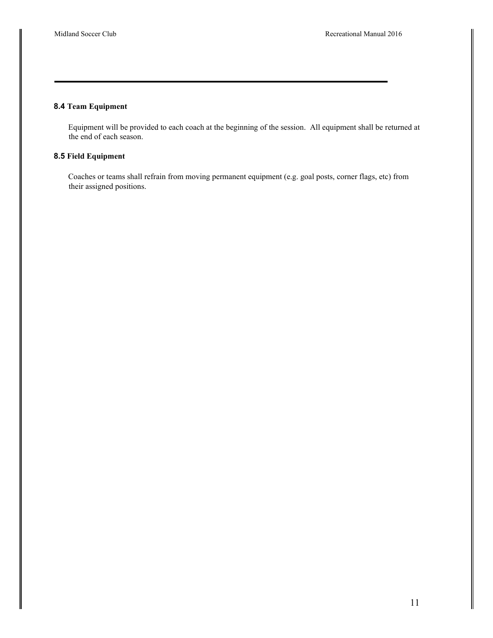## **8.4 Team Equipment**

Equipment will be provided to each coach at the beginning of the session. All equipment shall be returned at the end of each season.

### **8.5 Field Equipment**

Coaches or teams shall refrain from moving permanent equipment (e.g. goal posts, corner flags, etc) from their assigned positions.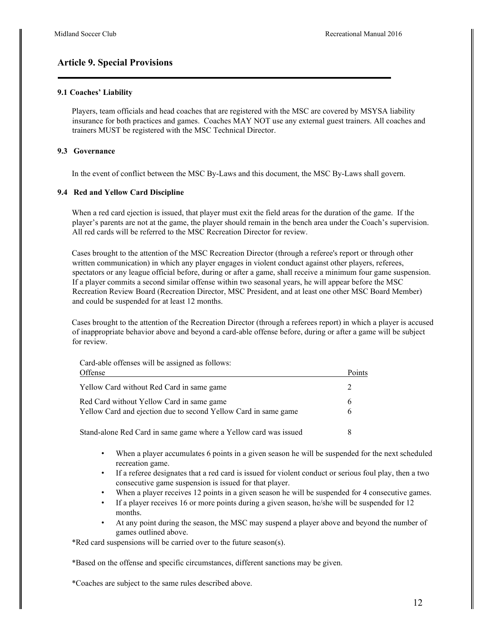## **Article 9. Special Provisions**

#### **9.1 Coaches' Liability**

Players, team officials and head coaches that are registered with the MSC are covered by MSYSA liability insurance for both practices and games. Coaches MAY NOT use any external guest trainers. All coaches and trainers MUST be registered with the MSC Technical Director.

#### **9.3 Governance**

In the event of conflict between the MSC By-Laws and this document, the MSC By-Laws shall govern.

#### **9.4 Red and Yellow Card Discipline**

When a red card ejection is issued, that player must exit the field areas for the duration of the game. If the player's parents are not at the game, the player should remain in the bench area under the Coach's supervision. All red cards will be referred to the MSC Recreation Director for review.

Cases brought to the attention of the MSC Recreation Director (through a referee's report or through other written communication) in which any player engages in violent conduct against other players, referees, spectators or any league official before, during or after a game, shall receive a minimum four game suspension. If a player commits a second similar offense within two seasonal years, he will appear before the MSC Recreation Review Board (Recreation Director, MSC President, and at least one other MSC Board Member) and could be suspended for at least 12 months.

Cases brought to the attention of the Recreation Director (through a referees report) in which a player is accused of inappropriate behavior above and beyond a card-able offense before, during or after a game will be subject for review.

Card-able offenses will be assigned as follows:

| Offense                                                         | Points |
|-----------------------------------------------------------------|--------|
| Yellow Card without Red Card in same game                       |        |
| Red Card without Yellow Card in same game                       | 6      |
| Yellow Card and ejection due to second Yellow Card in same game | 6      |
|                                                                 |        |

Stand-alone Red Card in same game where a Yellow card was issued 8

- When a player accumulates 6 points in a given season he will be suspended for the next scheduled recreation game.
- If a referee designates that a red card is issued for violent conduct or serious foul play, then a two consecutive game suspension is issued for that player.
- When a player receives 12 points in a given season he will be suspended for 4 consecutive games.
- If a player receives 16 or more points during a given season, he/she will be suspended for 12 months.
- At any point during the season, the MSC may suspend a player above and beyond the number of games outlined above.

\*Red card suspensions will be carried over to the future season(s).

\*Based on the offense and specific circumstances, different sanctions may be given.

\*Coaches are subject to the same rules described above.